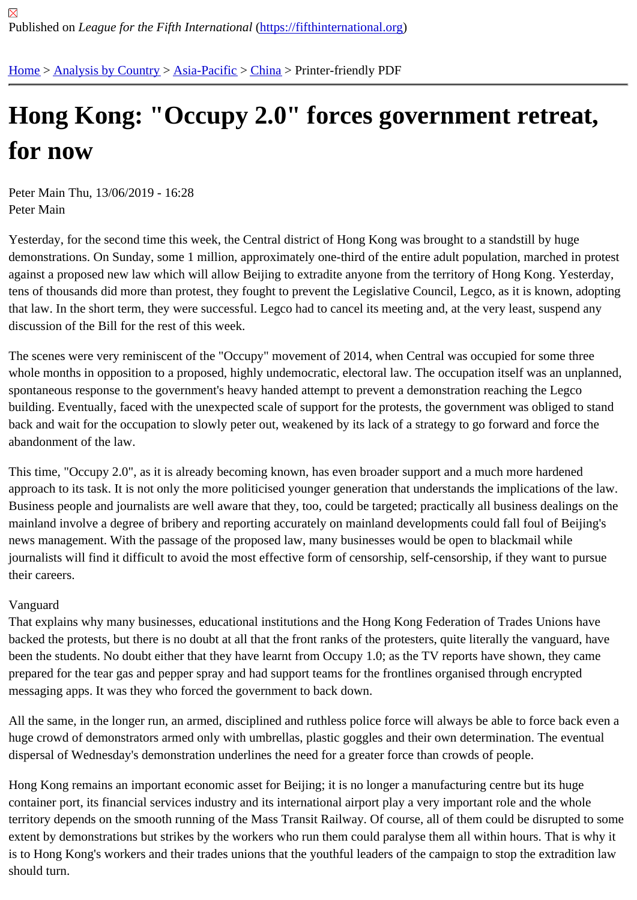## [Ho](https://fifthinternational.org/)[ng Kong: "](https://fifthinternational.org/category/1)[Occupy](https://fifthinternational.org/category/1/91) [2.0](https://fifthinternational.org/category/1/91/96)" forces government retreat, for now

Peter Main Thu, 13/06/2019 - 16:28 Peter Main

Yesterday, for the second time this week, the Central district of Hong Kong was brought to a standstill by huge demonstrations. On Sunday, some 1 million, approximately one-third of the entire adult population, marched in pro against a proposed new law which will allow Beijing to extradite anyone from the territory of Hong Kong. Yesterday, tens of thousands did more than protest, they fought to prevent the Legislative Council, Legco, as it is known, ado that law. In the short term, they were successful. Legco had to cancel its meeting and, at the very least, suspend a discussion of the Bill for the rest of this week.

The scenes were very reminiscent of the "Occupy" movement of 2014, when Central was occupied for some three whole months in opposition to a proposed, highly undemocratic, electoral law. The occupation itself was an unplar spontaneous response to the government's heavy handed attempt to prevent a demonstration reaching the Legco building. Eventually, faced with the unexpected scale of support for the protests, the government was obliged to st back and wait for the occupation to slowly peter out, weakened by its lack of a strategy to go forward and force the abandonment of the law.

This time, "Occupy 2.0", as it is already becoming known, has even broader support and a much more hardened approach to its task. It is not only the more politicised younger generation that understands the implications of the Business people and journalists are well aware that they, too, could be targeted; practically all business dealings o mainland involve a degree of bribery and reporting accurately on mainland developments could fall foul of Beijing's news management. With the passage of the proposed law, many businesses would be open to blackmail while journalists will find it difficult to avoid the most effective form of censorship, self-censorship, if they want to pursue their careers.

## Vanguard

That explains why many businesses, educational institutions and the Hong Kong Federation of Trades Unions have backed the protests, but there is no doubt at all that the front ranks of the protesters, quite literally the vanguard, h been the students. No doubt either that they have learnt from Occupy 1.0; as the TV reports have shown, they can prepared for the tear gas and pepper spray and had support teams for the frontlines organised through encrypted messaging apps. It was they who forced the government to back down.

All the same, in the longer run, an armed, disciplined and ruthless police force will always be able to force back ev huge crowd of demonstrators armed only with umbrellas, plastic goggles and their own determination. The eventua dispersal of Wednesday's demonstration underlines the need for a greater force than crowds of people.

Hong Kong remains an important economic asset for Beijing; it is no longer a manufacturing centre but its huge container port, its financial services industry and its international airport play a very important role and the whole territory depends on the smooth running of the Mass Transit Railway. Of course, all of them could be disrupted to extent by demonstrations but strikes by the workers who run them could paralyse them all within hours. That is wh is to Hong Kong's workers and their trades unions that the youthful leaders of the campaign to stop the extradition should turn.